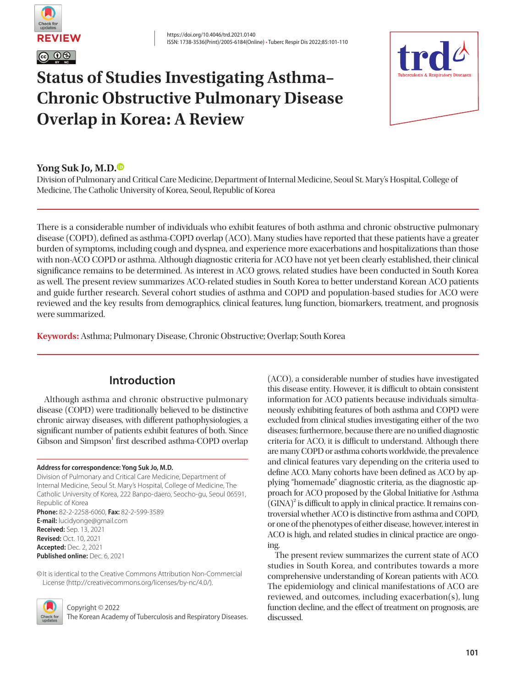

# **Status of Studies Investigating Asthma– Chronic Obstructive Pulmonary Disease Overlap in Korea: A Review**



## **Yong Suk Jo, M.D[.](https://orcid.org/0000-0002-6422-6530)**

Division of Pulmonary and Critical Care Medicine, Department of Internal Medicine, Seoul St. Mary's Hospital, College of Medicine, The Catholic University of Korea, Seoul, Republic of Korea

There is a considerable number of individuals who exhibit features of both asthma and chronic obstructive pulmonary disease (COPD), defined as asthma-COPD overlap (ACO). Many studies have reported that these patients have a greater burden of symptoms, including cough and dyspnea, and experience more exacerbations and hospitalizations than those with non-ACO COPD or asthma. Although diagnostic criteria for ACO have not yet been clearly established, their clinical significance remains to be determined. As interest in ACO grows, related studies have been conducted in South Korea as well. The present review summarizes ACO-related studies in South Korea to better understand Korean ACO patients and guide further research. Several cohort studies of asthma and COPD and population-based studies for ACO were reviewed and the key results from demographics, clinical features, lung function, biomarkers, treatment, and prognosis were summarized.

**Keywords:** Asthma; Pulmonary Disease, Chronic Obstructive; Overlap; South Korea

# **Introduction**

Although asthma and chronic obstructive pulmonary disease (COPD) were traditionally believed to be distinctive chronic airway diseases, with different pathophysiologies, a significant number of patients exhibit features of both. Since Gibson and Simpson<sup>1</sup> first described asthma-COPD overlap

#### **Address for correspondence: Yong Suk Jo, M.D.**

Division of Pulmonary and Critical Care Medicine, Department of Internal Medicine, Seoul St. Mary's Hospital, College of Medicine, The Catholic University of Korea, 222 Banpo-daero, Seocho-gu, Seoul 06591, Republic of Korea **Phone:** 82-2-2258-6060, **Fax:** 82-2-599-3589 **E-mail:** lucidyonge@gmail.com **Received:** Sep. 13, 2021 **Revised:** Oct. 10, 2021 **Accepted:** Dec. 2, 2021 **Published online:** Dec. 6, 2021

©It is identical to the Creative Commons Attribution Non-Commercial License (http://creativecommons.org/licenses/by-nc/4.0/).



Copyright © 2022

The Korean Academy of Tuberculosis and Respiratory Diseases.

(ACO), a considerable number of studies have investigated this disease entity. However, it is difficult to obtain consistent information for ACO patients because individuals simultaneously exhibiting features of both asthma and COPD were excluded from clinical studies investigating either of the two diseases; furthermore, because there are no unified diagnostic criteria for ACO, it is difficult to understand. Although there are many COPD or asthma cohorts worldwide, the prevalence and clinical features vary depending on the criteria used to define ACO. Many cohorts have been defined as ACO by applying "homemade" diagnostic criteria, as the diagnostic approach for ACO proposed by the Global Initiative for Asthma  $(GINA)^2$  is difficult to apply in clinical practice. It remains controversial whether ACO is distinctive from asthma and COPD, or one of the phenotypes of either disease, however, interest in ACO is high, and related studies in clinical practice are ongoing.

The present review summarizes the current state of ACO studies in South Korea, and contributes towards a more comprehensive understanding of Korean patients with ACO. The epidemiology and clinical manifestations of ACO are reviewed, and outcomes, including exacerbation(s), lung function decline, and the effect of treatment on prognosis, are discussed.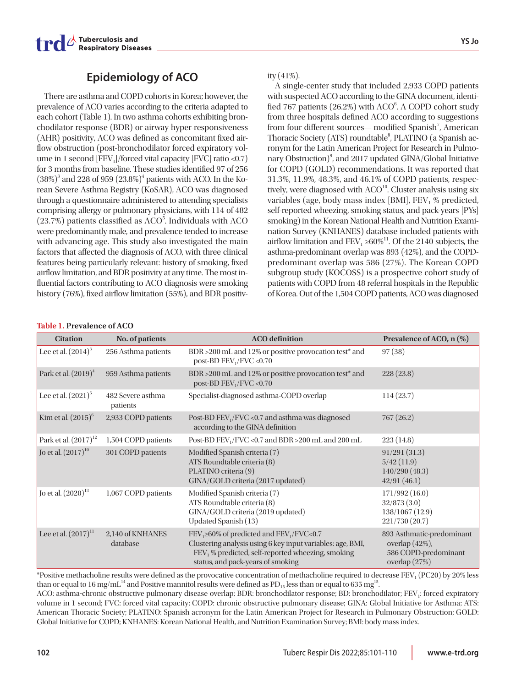

# **Epidemiology of ACO**

There are asthma and COPD cohorts in Korea; however, the prevalence of ACO varies according to the criteria adapted to each cohort (Table 1). In two asthma cohorts exhibiting bronchodilator response (BDR) or airway hyper-responsiveness (AHR) positivity, ACO was defined as concomitant fixed airflow obstruction (post-bronchodilator forced expiratory volume in 1 second  $[FEV<sub>1</sub>]/forced$  vital capacity  $[FVC]$  ratio <0.7) for 3 months from baseline. These studies identified 97 of 256  $(38\%)^3$  and 228 of 959  $(23.8\%)^4$  patients with ACO. In the Korean Severe Asthma Registry (KoSAR), ACO was diagnosed through a questionnaire administered to attending specialists comprising allergy or pulmonary physicians, with 114 of 482  $(23.7%)$  patients classified as ACO<sup>5</sup>. Individuals with ACO were predominantly male, and prevalence tended to increase with advancing age. This study also investigated the main factors that affected the diagnosis of ACO, with three clinical features being particularly relevant: history of smoking, fixed airflow limitation, and BDR positivity at any time. The most influential factors contributing to ACO diagnosis were smoking history (76%), fixed airflow limitation (55%), and BDR positivity  $(41\%)$ .

A single-center study that included 2,933 COPD patients with suspected ACO according to the GINA document, identified 767 patients (26.2%) with ACO<sup>6</sup>. A COPD cohort study from three hospitals defined ACO according to suggestions from four different sources— modified Spanish<sup>7</sup>, American Thoracic Society (ATS) roundtable<sup>8</sup>, PLATINO (a Spanish acronym for the Latin American Project for Research in Pulmonary Obstruction)<sup>9</sup>, and 2017 updated GINA/Global Initiative for COPD (GOLD) recommendations. It was reported that 31.3%, 11.9%, 48.3%, and 46.1% of COPD patients, respectively, were diagnosed with ACO<sup>10</sup>. Cluster analysis using six variables (age, body mass index [BMI],  $FEV<sub>1</sub>$  % predicted, self-reported wheezing, smoking status, and pack-years [PYs] smoking) in the Korean National Health and Nutrition Examination Survey (KNHANES) database included patients with airflow limitation and  $FEV_1 \geq 60\%$ <sup>11</sup>. Of the 2140 subjects, the asthma-predominant overlap was 893 (42%), and the COPDpredominant overlap was 586 (27%). The Korean COPD subgroup study (KOCOSS) is a prospective cohort study of patients with COPD from 48 referral hospitals in the Republic of Korea. Out of the 1,504 COPD patients, ACO was diagnosed

#### **Table 1. Prevalence of ACO**

| <b>Citation</b>           | No. of patients               | <b>ACO</b> definition                                                                                                                                                                                                 | Prevalence of ACO, n (%)                                                             |
|---------------------------|-------------------------------|-----------------------------------------------------------------------------------------------------------------------------------------------------------------------------------------------------------------------|--------------------------------------------------------------------------------------|
| Lee et al. $(2014)^3$     | 256 Asthma patients           | BDR > 200 mL and 12% or positive provocation test* and<br>post-BD $FEV1/FVC < 0.70$                                                                                                                                   | 97(38)                                                                               |
| Park et al. $(2019)^4$    | 959 Asthma patients           | BDR > 200 mL and 12% or positive provocation test* and<br>post-BD $FEV_1/FVC < 0.70$                                                                                                                                  | 228(23.8)                                                                            |
| Lee et al. $(2021)^5$     | 482 Severe asthma<br>patients | Specialist-diagnosed asthma-COPD overlap                                                                                                                                                                              | 114(23.7)                                                                            |
| Kim et al. $(2015)^6$     | 2,933 COPD patients           | Post-BD FEV <sub>1</sub> /FVC <0.7 and asthma was diagnosed<br>according to the GINA definition                                                                                                                       | 767(26.2)                                                                            |
| Park et al. $(2017)^{12}$ | 1,504 COPD patients           | Post-BD $FEV_1/FVC$ <0.7 and BDR >200 mL and 200 mL                                                                                                                                                                   | 223(14.8)                                                                            |
| Jo et al. $(2017)^{10}$   | 301 COPD patients             | Modified Spanish criteria (7)<br>ATS Roundtable criteria (8)<br>PLATINO criteria (9)<br>GINA/GOLD criteria (2017 updated)                                                                                             | 91/291(31.3)<br>5/42(11.9)<br>140/290(48.3)<br>42/91(46.1)                           |
| Jo et al. $(2020)^{13}$   | 1,067 COPD patients           | Modified Spanish criteria (7)<br>ATS Roundtable criteria (8)<br>GINA/GOLD criteria (2019 updated)<br>Updated Spanish (13)                                                                                             | 171/992 (16.0)<br>32/873(3.0)<br>138/1067 (12.9)<br>221/730 (20.7)                   |
| Lee et al. $(2017)^{11}$  | 2,140 of KNHANES<br>database  | $FEV1 \ge 60\%$ of predicted and $FEV1/FVC < 0.7$<br>Clustering analysis using 6 key input variables: age, BMI,<br>FEV <sub>1</sub> % predicted, self-reported wheezing, smoking<br>status, and pack-years of smoking | 893 Asthmatic-predominant<br>overlap (42%),<br>586 COPD-predominant<br>overlap (27%) |

\*Positive methacholine results were defined as the provocative concentration of methacholine required to decrease FEV1 (PC20) by 20% less than or equal to 16 mg/mL<sup>14</sup> and Positive mannitol results were defined as  $PD_{15}$  less than or equal to 635 mg<sup>15</sup>.

ACO: asthma-chronic obstructive pulmonary disease overlap; BDR: bronchodilator response; BD: bronchodilator; FEV<sub>1</sub>: forced expiratory volume in 1 second; FVC: forced vital capacity; COPD: chronic obstructive pulmonary disease; GINA: Global Initiative for Asthma; ATS: American Thoracic Society; PLATINO: Spanish acronym for the Latin American Project for Research in Pulmonary Obstruction; GOLD: Global Initiative for COPD; KNHANES: Korean National Health, and Nutrition Examination Survey; BMI: body mass index.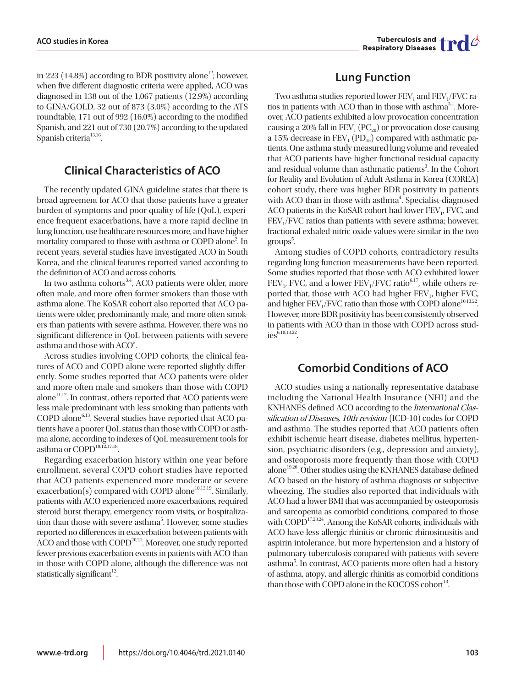Tuberculosis and  $\prod$ 

in 223 (14.8%) according to BDR positivity alone<sup>12</sup>; however, when five different diagnostic criteria were applied, ACO was diagnosed in 138 out of the 1,067 patients (12.9%) according to GINA/GOLD, 32 out of 873 (3.0%) according to the ATS roundtable, 171 out of 992 (16.0%) according to the modified Spanish, and 221 out of 730 (20.7%) according to the updated Spanish criteria<sup>13,16</sup>.

# **Clinical Characteristics of ACO**

The recently updated GINA guideline states that there is broad agreement for ACO that those patients have a greater burden of symptoms and poor quality of life (QoL), experience frequent exacerbations, have a more rapid decline in lung function, use healthcare resources more, and have higher mortality compared to those with asthma or COPD alone<sup>2</sup>. In recent years, several studies have investigated ACO in South Korea, and the clinical features reported varied according to the definition of ACO and across cohorts.

In two asthma cohorts<sup>3,4</sup>, ACO patients were older, more often male, and more often former smokers than those with asthma alone. The KoSAR cohort also reported that ACO patients were older, predominantly male, and more often smokers than patients with severe asthma. However, there was no significant difference in QoL between patients with severe asthma and those with ACO<sup>5</sup>.

Across studies involving COPD cohorts, the clinical features of ACO and COPD alone were reported slightly differently. Some studies reported that ACO patients were older and more often male and smokers than those with COPD alone<sup>11,12</sup>. In contrast, others reported that ACO patients were less male predominant with less smoking than patients with  $COPD$  alone<sup>6,13</sup>. Several studies have reported that ACO patients have a poorer QoL status than those with COPD or asthma alone, according to indexes of QoL measurement tools for asthma or COPD<sup>10,12,17,18</sup>.

Regarding exacerbation history within one year before enrollment, several COPD cohort studies have reported that ACO patients experienced more moderate or severe exacerbation(s) compared with COPD alone<sup>10,13,19</sup>. Similarly, patients with ACO experienced more exacerbations, required steroid burst therapy, emergency room visits, or hospitalization than those with severe asthma<sup>5</sup>. However, some studies reported no differences in exacerbation between patients with  $ACO$  and those with  $COPD<sup>20,21</sup>$ . Moreover, one study reported fewer previous exacerbation events in patients with ACO than in those with COPD alone, although the difference was not statistically significant $12$ .

# **Lung Function**

Two asthma studies reported lower  $FEV<sub>1</sub>$  and  $FEV<sub>1</sub>/FVC$  ratios in patients with ACO than in those with asthma<sup>3,4</sup>. Moreover, ACO patients exhibited a low provocation concentration causing a 20% fall in FEV<sub>1</sub> (PC<sub>20</sub>) or provocation dose causing a 15% decrease in  $FEV<sub>1</sub>$  (PD<sub>15</sub>) compared with asthmatic patients. One asthma study measured lung volume and revealed that ACO patients have higher functional residual capacity and residual volume than asthmatic patients<sup>3</sup>. In the Cohort for Reality and Evolution of Adult Asthma in Korea (COREA) cohort study, there was higher BDR positivity in patients with ACO than in those with asthma<sup>4</sup>. Specialist-diagnosed ACO patients in the KoSAR cohort had lower FEV<sub>1</sub>, FVC, and FEV<sub>1</sub>/FVC ratios than patients with severe asthma; however, fractional exhaled nitric oxide values were similar in the two groups<sup>5</sup>.

Among studies of COPD cohorts, contradictory results regarding lung function measurements have been reported. Some studies reported that those with ACO exhibited lower  $FEV<sub>1</sub> FVC$ , and a lower  $FEV<sub>1</sub>/FVC$  ratio<sup>6,17</sup>, while others reported that, those with ACO had higher  $FEV<sub>1</sub>$ , higher  $FVC$ , and higher  $FEV_1/FVC$  ratio than those with COPD alone<sup>10,13,22</sup>. However, more BDR positivity has been consistently observed in patients with ACO than in those with COPD across stud $i$ es $^{\tilde{6},10,13,22}$ 

## **Comorbid Conditions of ACO**

ACO studies using a nationally representative database including the National Health Insurance (NHI) and the KNHANES defined ACO according to the International Classification of Diseases, 10th revision (ICD-10) codes for COPD and asthma. The studies reported that ACO patients often exhibit ischemic heart disease, diabetes mellitus, hypertension, psychiatric disorders (e.g., depression and anxiety), and osteoporosis more frequently than those with COPD alone<sup>19,20</sup>. Other studies using the KNHANES database defined ACO based on the history of asthma diagnosis or subjective wheezing. The studies also reported that individuals with ACO had a lower BMI that was accompanied by osteoporosis and sarcopenia as comorbid conditions, compared to those with COPD<sup>17,23,24</sup>. Among the KoSAR cohorts, individuals with ACO have less allergic rhinitis or chronic rhinosinusitis and aspirin intolerance, but more hypertension and a history of pulmonary tuberculosis compared with patients with severe asthma<sup>5</sup>. In contrast, ACO patients more often had a history of asthma, atopy, and allergic rhinitis as comorbid conditions than those with COPD alone in the KOCOSS cohort $^{13}$ .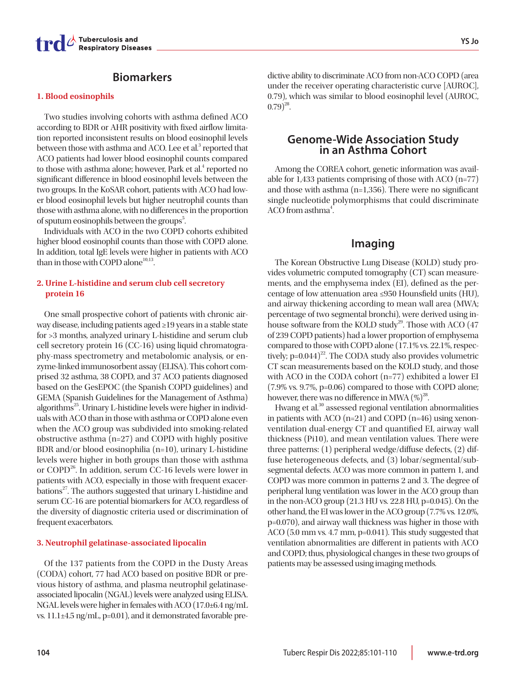

## **Biomarkers**

#### **1. Blood eosinophils**

Two studies involving cohorts with asthma defined ACO according to BDR or AHR positivity with fixed airflow limitation reported inconsistent results on blood eosinophil levels between those with asthma and ACO. Lee et al.<sup>3</sup> reported that ACO patients had lower blood eosinophil counts compared to those with asthma alone; however, Park et al.<sup>4</sup> reported no significant difference in blood eosinophil levels between the two groups. In the KoSAR cohort, patients with ACO had lower blood eosinophil levels but higher neutrophil counts than those with asthma alone, with no differences in the proportion of sputum eosinophils between the groups<sup>5</sup>.

Individuals with ACO in the two COPD cohorts exhibited higher blood eosinophil counts than those with COPD alone. In addition, total IgE levels were higher in patients with ACO than in those with COPD alone<sup>10,13</sup>.

## **2. Urine L-histidine and serum club cell secretory protein 16**

One small prospective cohort of patients with chronic airway disease, including patients aged ≥19 years in a stable state for >3 months, analyzed urinary L-histidine and serum club cell secretory protein 16 (CC-16) using liquid chromatography-mass spectrometry and metabolomic analysis, or enzyme-linked immunosorbent assay (ELISA). This cohort comprised 32 asthma, 38 COPD, and 37 ACO patients diagnosed based on the GesEPOC (the Spanish COPD guidelines) and GEMA (Spanish Guidelines for the Management of Asthma) algorithms<sup>25</sup>. Urinary L-histidine levels were higher in individuals with ACO than in those with asthma or COPD alone even when the ACO group was subdivided into smoking-related obstructive asthma (n=27) and COPD with highly positive BDR and/or blood eosinophilia (n=10), urinary L-histidine levels were higher in both groups than those with asthma or COPD<sup>26</sup>. In addition, serum CC-16 levels were lower in patients with ACO, especially in those with frequent exacerbations<sup>27</sup>. The authors suggested that urinary L-histidine and serum CC-16 are potential biomarkers for ACO, regardless of the diversity of diagnostic criteria used or discrimination of frequent exacerbators.

#### **3. Neutrophil gelatinase-associated lipocalin**

Of the 137 patients from the COPD in the Dusty Areas (CODA) cohort, 77 had ACO based on positive BDR or previous history of asthma, and plasma neutrophil gelatinaseassociated lipocalin (NGAL) levels were analyzed using ELISA. NGAL levels were higher in females with ACO (17.0±6.4 ng/mL vs. 11.1±4.5 ng/mL, p=0.01), and it demonstrated favorable pre-

dictive ability to discriminate ACO from non-ACO COPD (area under the receiver operating characteristic curve [AUROC], 0.79), which was similar to blood eosinophil level (AUROC,  $(0.79)^{28}$ .

# **Genome-Wide Association Study in an Asthma Cohort**

Among the COREA cohort, genetic information was available for 1,433 patients comprising of those with ACO (n=77) and those with asthma (n=1,356). There were no significant single nucleotide polymorphisms that could discriminate ACO from asthma<sup>4</sup>. .

## **Imaging**

The Korean Obstructive Lung Disease (KOLD) study provides volumetric computed tomography (CT) scan measurements, and the emphysema index (EI), defined as the percentage of low attenuation area ≤950 Hounsfield units (HU), and airway thickening according to mean wall area (MWA; percentage of two segmental bronchi), were derived using inhouse software from the KOLD study<sup>29</sup>. Those with ACO  $(47)$ of 239 COPD patients) had a lower proportion of emphysema compared to those with COPD alone (17.1% vs. 22.1%, respectively;  $p=0.044$ <sup>22</sup>. The CODA study also provides volumetric CT scan measurements based on the KOLD study, and those with ACO in the CODA cohort (n=77) exhibited a lower EI (7.9% vs. 9.7%, p=0.06) compared to those with COPD alone; however, there was no difference in MWA  $(\%)^{28}$ .

Hwang et al.<sup>30</sup> assessed regional ventilation abnormalities in patients with ACO (n=21) and COPD (n=46) using xenonventilation dual-energy CT and quantified EI, airway wall thickness (Pi10), and mean ventilation values. There were three patterns: (1) peripheral wedge/diffuse defects, (2) diffuse heterogeneous defects, and (3) lobar/segmental/subsegmental defects. ACO was more common in pattern 1, and COPD was more common in patterns 2 and 3. The degree of peripheral lung ventilation was lower in the ACO group than in the non-ACO group (21.3 HU vs. 22.8 HU, p=0.045). On the other hand, the EI was lower in the ACO group (7.7% vs. 12.0%, p=0.070), and airway wall thickness was higher in those with ACO (5.0 mm vs. 4.7 mm, p=0.041). This study suggested that ventilation abnormalities are different in patients with ACO and COPD; thus, physiological changes in these two groups of patients may be assessed using imaging methods.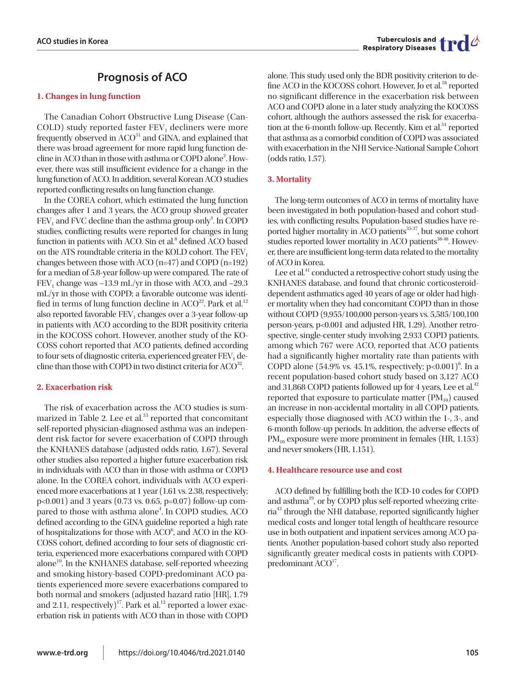# **Prognosis of ACO**

### **1. Changes in lung function**

The Canadian Cohort Obstructive Lung Disease (Can- $COLD)$  study reported faster  $FEV<sub>1</sub>$  decliners were more frequently observed in ACO<sup>31</sup> and GINA, and explained that there was broad agreement for more rapid lung function decline in ACO than in those with asthma or COPD alone2 . However, there was still insufficient evidence for a change in the lung function of ACO. In addition, several Korean ACO studies reported conflicting results on lung function change.

In the COREA cohort, which estimated the lung function changes after 1 and 3 years, the ACO group showed greater  $\mathrm{FEV}_1$  and FVC decline than the asthma group only<sup>4</sup>. In COPD studies, conflicting results were reported for changes in lung function in patients with ACO. Sin et al.<sup>8</sup> defined ACO based on the ATS roundtable criteria in the KOLD cohort. The  $FEV<sub>1</sub>$ changes between those with ACO (n=47) and COPD (n=192) for a median of 5.8-year follow-up were compared. The rate of FEV<sub>1</sub> change was  $-13.9$  mL/yr in those with ACO, and  $-29.3$ mL/yr in those with COPD; a favorable outcome was identified in terms of lung function decline in  $ACO<sup>22</sup>$ . Park et al.<sup>12</sup> also reported favorable  $FEV_1$  changes over a 3-year follow-up in patients with ACO according to the BDR positivity criteria in the KOCOSS cohort. However, another study of the KO-COSS cohort reported that ACO patients, defined according to four sets of diagnostic criteria, experienced greater  $FEV<sub>1</sub>$  decline than those with COPD in two distinct criteria for  $ACO^{32}$ .

## **2. Exacerbation risk**

The risk of exacerbation across the ACO studies is summarized in Table 2. Lee et al.<sup>33</sup> reported that concomitant self-reported physician-diagnosed asthma was an independent risk factor for severe exacerbation of COPD through the KNHANES database (adjusted odds ratio, 1.67). Several other studies also reported a higher future exacerbation risk in individuals with ACO than in those with asthma or COPD alone. In the COREA cohort, individuals with ACO experienced more exacerbations at 1 year (1.61 vs. 2.38, respectively; p<0.001) and 3 years (0.73 vs. 0.65, p=0.07) follow-up compared to those with asthma alone<sup>4</sup>. In COPD studies, ACO defined according to the GINA guideline reported a high rate of hospitalizations for those with  $ACO<sup>6</sup>$ , and  $ACO$  in the KO-COSS cohort, defined according to four sets of diagnostic criteria, experienced more exacerbations compared with COPD alone<sup>10</sup>. In the KNHANES database, self-reported wheezing and smoking history-based COPD-predominant ACO patients experienced more severe exacerbations compared to both normal and smokers (adjusted hazard ratio [HR], 1.79 and 2.11, respectively)<sup>17</sup>. Park et al.<sup>12</sup> reported a lower exacerbation risk in patients with ACO than in those with COPD

alone. This study used only the BDR positivity criterion to define ACO in the KOCOSS cohort. However, Jo et al.<sup>18</sup> reported no significant difference in the exacerbation risk between ACO and COPD alone in a later study analyzing the KOCOSS cohort, although the authors assessed the risk for exacerbation at the 6-month follow-up. Recently, Kim et al.<sup>34</sup> reported that asthma as a comorbid condition of COPD was associated with exacerbation in the NHI Service-National Sample Cohort (odds ratio, 1.57).

## **3. Mortality**

The long-term outcomes of ACO in terms of mortality have been investigated in both population-based and cohort studies, with conflicting results. Population-based studies have reported higher mortality in ACO patients<sup>35-37</sup>, but some cohort studies reported lower mortality in ACO patients $38-40$ . However, there are insufficient long-term data related to the mortality of ACO in Korea.

Lee et al. $41$  conducted a retrospective cohort study using the KNHANES database, and found that chronic corticosteroiddependent asthmatics aged 40 years of age or older had higher mortality when they had concomitant COPD than in those without COPD (9,955/100,000 person-years vs. 5,585/100,100 person-years, p<0.001 and adjusted HR, 1.29). Another retrospective, single-center study involving 2,933 COPD patients, among which 767 were ACO, reported that ACO patients had a significantly higher mortality rate than patients with COPD alone (54.9% vs. 45.1%, respectively;  $p<0.001$ <sup>6</sup>. In a recent population-based cohort study based on 3,127 ACO and 31,868 COPD patients followed up for 4 years, Lee et al.<sup>42</sup> reported that exposure to particulate matter  $(PM_{10})$  caused an increase in non-accidental mortality in all COPD patients, especially those diagnosed with ACO within the 1-, 3-, and 6-month follow-up periods. In addition, the adverse effects of PM<sub>10</sub> exposure were more prominent in females (HR, 1.153) and never smokers (HR, 1.151).

#### **4. Healthcare resource use and cost**

ACO defined by fulfilling both the ICD-10 codes for COPD and asthma<sup>19</sup>, or by COPD plus self-reported wheezing criteria43 through the NHI database, reported significantly higher medical costs and longer total length of healthcare resource use in both outpatient and inpatient services among ACO patients. Another population-based cohort study also reported significantly greater medical costs in patients with COPDpredominant  $ACO<sup>17</sup>$ .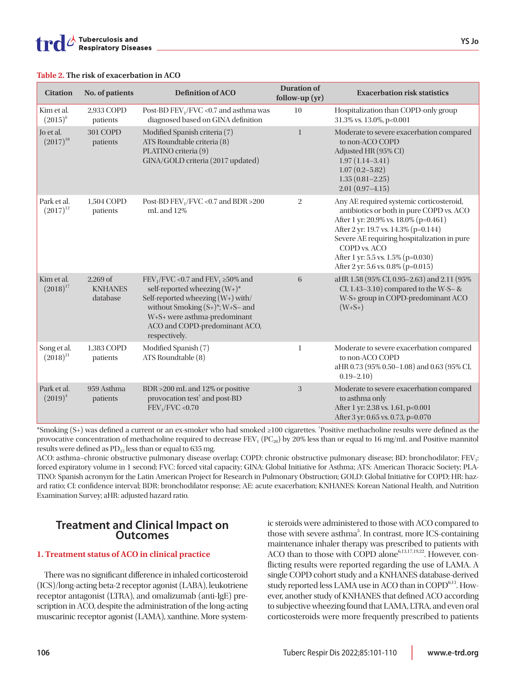|  |  |  |  |  | Table 2. The risk of exacerbation in ACO |  |  |
|--|--|--|--|--|------------------------------------------|--|--|
|--|--|--|--|--|------------------------------------------|--|--|

| <b>Citation</b>              | No. of patients                          | <b>Definition of ACO</b>                                                                                                                                                                                                                   | <b>Duration of</b><br>follow-up $(yr)$ | <b>Exacerbation risk statistics</b>                                                                                                                                                                                                                                                                              |
|------------------------------|------------------------------------------|--------------------------------------------------------------------------------------------------------------------------------------------------------------------------------------------------------------------------------------------|----------------------------------------|------------------------------------------------------------------------------------------------------------------------------------------------------------------------------------------------------------------------------------------------------------------------------------------------------------------|
| Kim et al.<br>$(2015)^6$     | 2,933 COPD<br>patients                   | Post-BD FEV <sub>1</sub> /FVC <0.7 and asthma was<br>diagnosed based on GINA definition                                                                                                                                                    | 10                                     | Hospitalization than COPD-only group<br>31.3% vs. 13.0%, p<0.001                                                                                                                                                                                                                                                 |
| Jo et al.<br>$(2017)^{10}$   | 301 COPD<br>patients                     | Modified Spanish criteria (7)<br>ATS Roundtable criteria (8)<br>PLATINO criteria (9)<br>GINA/GOLD criteria (2017 updated)                                                                                                                  | $\mathbf{1}$                           | Moderate to severe exacerbation compared<br>to non-ACO COPD<br>Adjusted HR (95% CI)<br>$1.97(1.14 - 3.41)$<br>$1.07(0.2 - 5.82)$<br>$1.35(0.81 - 2.25)$<br>$2.01(0.97-4.15)$                                                                                                                                     |
| Park et al.<br>$(2017)^{12}$ | 1,504 COPD<br>patients                   | Post-BD FEV <sub>1</sub> /FVC <0.7 and BDR >200<br>mL and 12%                                                                                                                                                                              | $\overline{2}$                         | Any AE required systemic corticosteroid,<br>antibiotics or both in pure COPD vs. ACO<br>After 1 yr: 20.9% vs. 18.0% (p=0.461)<br>After 2 yr: 19.7 vs. 14.3% (p=0.144)<br>Severe AE requiring hospitalization in pure<br>COPD vs. ACO<br>After 1 yr: 5.5 vs. 1.5% (p=0.030)<br>After 2 yr: 5.6 vs. 0.8% (p=0.015) |
| Kim et al.<br>$(2018)^{17}$  | $2,269$ of<br><b>KNHANES</b><br>database | $FEV1/FVC < 0.7$ and $FEV1 \ge 50\%$ and<br>self-reported wheezing $(W^+)^*$<br>Self-reported wheezing (W+) with/<br>without Smoking $(S+)^*$ ; W+S- and<br>W+S+ were asthma-predominant<br>ACO and COPD-predominant ACO,<br>respectively. | 6                                      | aHR 1.58 (95% CI, 0.95-2.63) and 2.11 (95%<br>CI, $1.43-3.10$ ) compared to the W-S- &<br>W-S+ group in COPD-predominant ACO<br>$(W + S + )$                                                                                                                                                                     |
| Song et al.<br>$(2018)^{21}$ | 1,383 COPD<br>patients                   | Modified Spanish (7)<br>ATS Roundtable (8)                                                                                                                                                                                                 | $\mathbf{1}$                           | Moderate to severe exacerbation compared<br>to non-ACO COPD<br>aHR 0.73 (95% 0.50-1.08) and 0.63 (95% CI,<br>$0.19 - 2.10$                                                                                                                                                                                       |
| Park et al.<br>$(2019)^4$    | 959 Asthma<br>patients                   | BDR >200 mL and 12% or positive<br>provocation test <sup>†</sup> and post-BD<br>FEV <sub>1</sub> /FVC < 0.70                                                                                                                               | 3                                      | Moderate to severe exacerbation compared<br>to asthma only<br>After 1 yr: 2.38 vs. 1.61, p<0.001<br>After 3 yr: 0.65 vs. 0.73, p=0.070                                                                                                                                                                           |

\*Smoking (S+) was defined a current or an ex-smoker who had smoked ≥100 cigarettes. † Positive methacholine results were defined as the provocative concentration of methacholine required to decrease FEV<sub>1</sub> (PC<sub>20</sub>) by 20% less than or equal to 16 mg/mL and Positive mannitol results were defined as  $PD_{15}$  less than or equal to 635 mg.

ACO: asthma-chronic obstructive pulmonary disease overlap; COPD: chronic obstructive pulmonary disease; BD: bronchodilator; FEV<sub>1</sub>: forced expiratory volume in 1 second; FVC: forced vital capacity; GINA: Global Initiative for Asthma; ATS: American Thoracic Society; PLA-TINO: Spanish acronym for the Latin American Project for Research in Pulmonary Obstruction; GOLD: Global Initiative for COPD; HR: hazard ratio; CI: confidence interval; BDR: bronchodilator response; AE: acute exacerbation; KNHANES: Korean National Health, and Nutrition Examination Survey; aHR: adjusted hazard ratio.

# **Treatment and Clinical Impact on Outcomes**

## **1. Treatment status of ACO in clinical practice**

There was no significant difference in inhaled corticosteroid (ICS)/long-acting beta-2 receptor agonist (LABA), leukotriene receptor antagonist (LTRA), and omalizumab (anti-IgE) prescription in ACO, despite the administration of the long-acting muscarinic receptor agonist (LAMA), xanthine. More systemic steroids were administered to those with ACO compared to those with severe asthma<sup>5</sup>. In contrast, more ICS-containing maintenance inhaler therapy was prescribed to patients with ACO than to those with COPD alone<sup>6,13,17,19,22</sup>. However, conflicting results were reported regarding the use of LAMA. A single COPD cohort study and a KNHANES database-derived study reported less LAMA use in ACO than in  $COPD<sup>6,11</sup>$ . However, another study of KNHANES that defined ACO according to subjective wheezing found that LAMA, LTRA, and even oral corticosteroids were more frequently prescribed to patients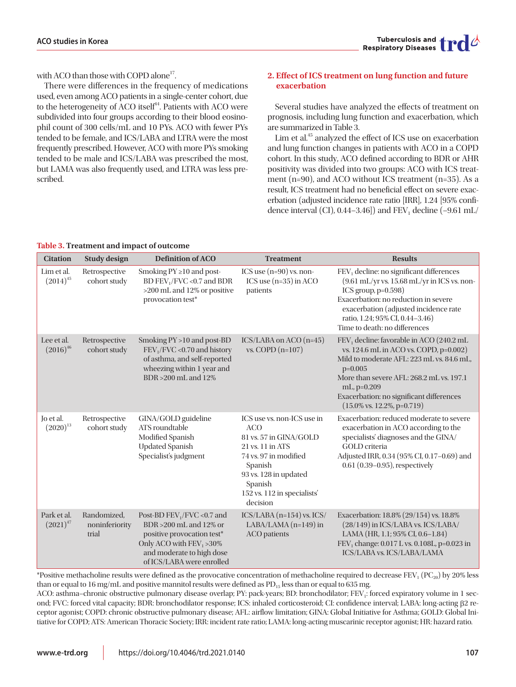with ACO than those with COPD alone<sup>17</sup>.

There were differences in the frequency of medications used, even among ACO patients in a single-center cohort, due to the heterogeneity of ACO itself<sup>44</sup>. Patients with ACO were subdivided into four groups according to their blood eosinophil count of 300 cells/mL and 10 PYs. ACO with fewer PYs tended to be female, and ICS/LABA and LTRA were the most frequently prescribed. However, ACO with more PYs smoking tended to be male and ICS/LABA was prescribed the most, but LAMA was also frequently used, and LTRA was less prescribed.

## **2. Effect of ICS treatment on lung function and future exacerbation**

Several studies have analyzed the effects of treatment on prognosis, including lung function and exacerbation, which are summarized in Table 3.

Lim et al.<sup>45</sup> analyzed the effect of ICS use on exacerbation and lung function changes in patients with ACO in a COPD cohort. In this study, ACO defined according to BDR or AHR positivity was divided into two groups: ACO with ICS treatment (n=90), and ACO without ICS treatment (n=35). As a result, ICS treatment had no beneficial effect on severe exacerbation (adjusted incidence rate ratio [IRR], 1.24 [95% confidence interval (CI),  $0.44-3.46$ ] and FEV<sub>1</sub> decline  $(-9.61 \text{ mL})$ 

| <b>Citation</b>              | <b>Study design</b>                    | <b>Definition of ACO</b>                                                                                                                                                        | <b>Treatment</b>                                                                                                                                                                                          | <b>Results</b>                                                                                                                                                                                                                                                                                                          |
|------------------------------|----------------------------------------|---------------------------------------------------------------------------------------------------------------------------------------------------------------------------------|-----------------------------------------------------------------------------------------------------------------------------------------------------------------------------------------------------------|-------------------------------------------------------------------------------------------------------------------------------------------------------------------------------------------------------------------------------------------------------------------------------------------------------------------------|
| Lim et al.<br>$(2014)^{45}$  | Retrospective<br>cohort study          | Smoking $PY \ge 10$ and post-<br>BD FEV <sub>1</sub> /FVC <0.7 and BDR<br>>200 mL and 12% or positive<br>provocation test*                                                      | ICS use $(n=90)$ vs. non-<br>ICS use (n=35) in ACO<br>patients                                                                                                                                            | FEV <sub>1</sub> decline: no significant differences<br>(9.61 mL/yr vs. 15.68 mL/yr in ICS vs. non-<br>ICS group, $p=0.598$ )<br>Exacerbation: no reduction in severe<br>exacerbation (adjusted incidence rate<br>ratio, 1.24; 95% CI, 0.44-3.46)<br>Time to death: no differences                                      |
| Lee et al.<br>$(2016)^{46}$  | Retrospective<br>cohort study          | Smoking PY > 10 and post-BD<br>$FEV1/FVC < 0.70$ and history<br>of asthma, and self-reported<br>wheezing within 1 year and<br>BDR > 200 mL and 12%                              | ICS/LABA on ACO (n=45)<br>vs. COPD $(n=107)$                                                                                                                                                              | FEV <sub>1</sub> decline: favorable in ACO (240.2 mL<br>vs. 124.6 mL in ACO vs. COPD, p=0.002)<br>Mild to moderate AFL: 223 mL vs. 84.6 mL,<br>$p=0.005$<br>More than severe AFL: 268.2 mL vs. 197.1<br>$mL$ , $p=0.209$<br>Exacerbation: no significant differences<br>$(15.0\% \text{ vs. } 12.2\%, \text{ p=0.719})$ |
| Jo et al.<br>$(2020)^{13}$   | Retrospective<br>cohort study          | GINA/GOLD guideline<br>ATS roundtable<br>Modified Spanish<br><b>Updated Spanish</b><br>Specialist's judgment                                                                    | ICS use vs. non-ICS use in<br><b>ACO</b><br>81 vs. 57 in GINA/GOLD<br>21 vs. 11 in ATS<br>74 vs. 97 in modified<br>Spanish<br>93 vs. 128 in updated<br>Spanish<br>152 vs. 112 in specialists'<br>decision | Exacerbation: reduced moderate to severe<br>exacerbation in ACO according to the<br>specialists' diagnoses and the GINA/<br><b>GOLD</b> criteria<br>Adjusted IRR, 0.34 (95% CI, 0.17-0.69) and<br>$0.61$ $(0.39-0.95)$ , respectively                                                                                   |
| Park et al.<br>$(2021)^{47}$ | Randomized,<br>noninferiority<br>trial | Post-BD $FEV_1/FVC$ <0.7 and<br>BDR > 200 mL and 12% or<br>positive provocation test*<br>Only ACO with $FEV_1 > 30\%$<br>and moderate to high dose<br>of ICS/LABA were enrolled | ICS/LABA (n=154) vs. ICS/<br>$LABA/LAMA$ (n=149) in<br><b>ACO</b> patients                                                                                                                                | Exacerbation: 18.8% (29/154) vs. 18.8%<br>(28/149) in ICS/LABA vs. ICS/LABA/<br>LAMA (HR, 1.1; 95% CI, 0.6-1.84)<br>FEV <sub>1</sub> change: 0.017 L vs. 0.108L, p=0.023 in<br>ICS/LABA vs. ICS/LABA/LAMA                                                                                                               |

**Table 3. Treatment and impact of outcome** 

\*Positive methacholine results were defined as the provocative concentration of methacholine required to decrease FEV<sub>1</sub> (PC<sub>20</sub>) by 20% less than or equal to 16 mg/mL and positive mannitol results were defined as  $PD_{15}$  less than or equal to 635 mg.

ACO: asthma-chronic obstructive pulmonary disease overlap; PY: pack-years; BD: bronchodilator; FEV<sub>1</sub>: forced expiratory volume in 1 second; FVC: forced vital capacity; BDR: bronchodilator response; ICS: inhaled corticosteroid; CI: confidence interval; LABA: long-acting β2 receptor agonist; COPD: chronic obstructive pulmonary disease; AFL: airflow limitation; GINA: Global Initiative for Asthma; GOLD: Global Initiative for COPD; ATS: American Thoracic Society; IRR: incident rate ratio; LAMA: long-acting muscarinic receptor agonist; HR: hazard ratio.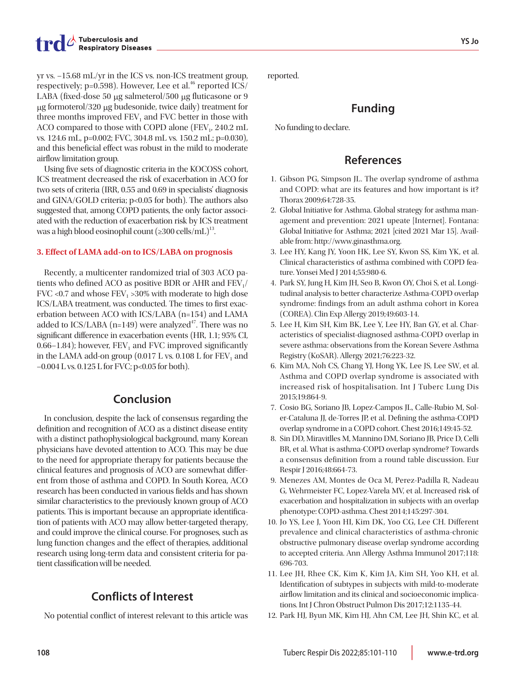yr vs. –15.68 mL/yr in the ICS vs. non-ICS treatment group, respectively;  $p=0.598$ ). However, Lee et al.<sup>46</sup> reported ICS/ LABA (fixed-dose 50 μg salmeterol/500 μg fluticasone or 9 μg formoterol/320 μg budesonide, twice daily) treatment for three months improved  $FEV<sub>1</sub>$  and FVC better in those with ACO compared to those with COPD alone ( $FEV<sub>1</sub>$ , 240.2 mL vs. 124.6 mL, p=0.002; FVC, 304.8 mL vs. 150.2 mL; p=0.030), and this beneficial effect was robust in the mild to moderate airflow limitation group.

Using five sets of diagnostic criteria in the KOCOSS cohort, ICS treatment decreased the risk of exacerbation in ACO for two sets of criteria (IRR, 0.55 and 0.69 in specialists' diagnosis and GINA/GOLD criteria; p<0.05 for both). The authors also suggested that, among COPD patients, the only factor associated with the reduction of exacerbation risk by ICS treatment was a high blood eosinophil count  $(\geq 300 \text{ cells/mL})^{13}$ .

#### **3. Effect of LAMA add-on to ICS/LABA on prognosis**

Recently, a multicenter randomized trial of 303 ACO patients who defined ACO as positive BDR or AHR and  $FEV<sub>1</sub>/$ FVC <0.7 and whose  $FEV_1 > 30\%$  with moderate to high dose ICS/LABA treatment, was conducted. The times to first exacerbation between ACO with ICS/LABA (n=154) and LAMA added to ICS/LABA (n=149) were analyzed<sup>47</sup>. There was no significant difference in exacerbation events (HR, 1.1; 95% CI, 0.66–1.84); however,  $FEV<sub>1</sub>$  and FVC improved significantly in the LAMA add-on group  $(0.017 \text{ L} \text{ vs. } 0.108 \text{ L} \text{ for FEV}_1$  and  $-0.004$  L vs.  $0.125$  L for FVC; p<0.05 for both).

## **Conclusion**

In conclusion, despite the lack of consensus regarding the definition and recognition of ACO as a distinct disease entity with a distinct pathophysiological background, many Korean physicians have devoted attention to ACO. This may be due to the need for appropriate therapy for patients because the clinical features and prognosis of ACO are somewhat different from those of asthma and COPD. In South Korea, ACO research has been conducted in various fields and has shown similar characteristics to the previously known group of ACO patients. This is important because an appropriate identification of patients with ACO may allow better-targeted therapy, and could improve the clinical course. For prognoses, such as lung function changes and the effect of therapies, additional research using long-term data and consistent criteria for patient classification will be needed.

# **Conflicts of Interest**

No potential conflict of interest relevant to this article was

reported.

## **Funding**

No funding to declare.

## **References**

- 1. Gibson PG, Simpson JL. The overlap syndrome of asthma and COPD: what are its features and how important is it? Thorax 2009;64:728-35.
- 2. Global Initiative for Asthma. Global strategy for asthma management and prevention: 2021 upeate [Internet]. Fontana: Global Initiative for Asthma; 2021 [cited 2021 Mar 15]. Available from: http://www.ginasthma.org.
- 3. Lee HY, Kang JY, Yoon HK, Lee SY, Kwon SS, Kim YK, et al. Clinical characteristics of asthma combined with COPD feature. Yonsei Med J 2014;55:980-6.
- 4. Park SY, Jung H, Kim JH, Seo B, Kwon OY, Choi S, et al. Longitudinal analysis to better characterize Asthma-COPD overlap syndrome: findings from an adult asthma cohort in Korea (COREA). Clin Exp Allergy 2019;49:603-14.
- 5. Lee H, Kim SH, Kim BK, Lee Y, Lee HY, Ban GY, et al. Characteristics of specialist-diagnosed asthma-COPD overlap in severe asthma: observations from the Korean Severe Asthma Registry (KoSAR). Allergy 2021;76:223-32.
- 6. Kim MA, Noh CS, Chang YJ, Hong YK, Lee JS, Lee SW, et al. Asthma and COPD overlap syndrome is associated with increased risk of hospitalisation. Int J Tuberc Lung Dis 2015;19:864-9.
- 7. Cosio BG, Soriano JB, Lopez-Campos JL, Calle-Rubio M, Soler-Cataluna JJ, de-Torres JP, et al. Defining the asthma-COPD overlap syndrome in a COPD cohort. Chest 2016;149:45-52.
- 8. Sin DD, Miravitlles M, Mannino DM, Soriano JB, Price D, Celli BR, et al. What is asthma-COPD overlap syndrome? Towards a consensus definition from a round table discussion. Eur Respir J 2016;48:664-73.
- 9. Menezes AM, Montes de Oca M, Perez-Padilla R, Nadeau G, Wehrmeister FC, Lopez-Varela MV, et al. Increased risk of exacerbation and hospitalization in subjects with an overlap phenotype: COPD-asthma. Chest 2014;145:297-304.
- 10. Jo YS, Lee J, Yoon HI, Kim DK, Yoo CG, Lee CH. Different prevalence and clinical characteristics of asthma-chronic obstructive pulmonary disease overlap syndrome according to accepted criteria. Ann Allergy Asthma Immunol 2017;118: 696-703.
- 11. Lee JH, Rhee CK, Kim K, Kim JA, Kim SH, Yoo KH, et al. Identification of subtypes in subjects with mild-to-moderate airflow limitation and its clinical and socioeconomic implications. Int J Chron Obstruct Pulmon Dis 2017;12:1135-44.
- 12. Park HJ, Byun MK, Kim HJ, Ahn CM, Lee JH, Shin KC, et al.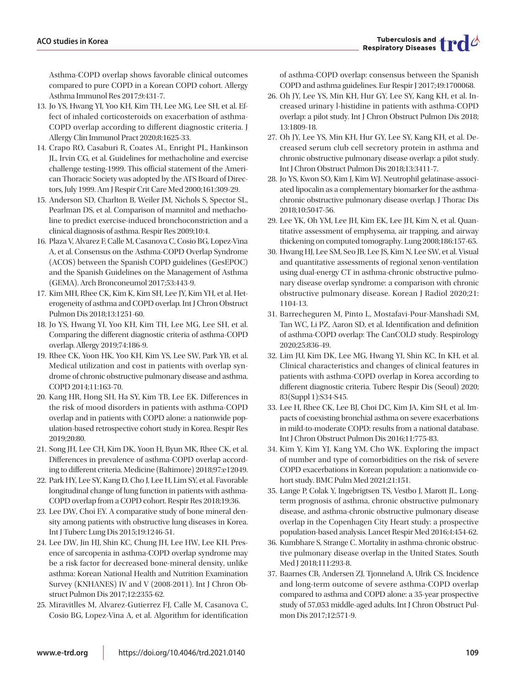Tuberculosis and  $\prod_{i=1}^{n}$ 

Asthma-COPD overlap shows favorable clinical outcomes compared to pure COPD in a Korean COPD cohort. Allergy Asthma Immunol Res 2017;9:431-7.

- 13. Jo YS, Hwang YI, Yoo KH, Kim TH, Lee MG, Lee SH, et al. Effect of inhaled corticosteroids on exacerbation of asthma-COPD overlap according to different diagnostic criteria. J Allergy Clin Immunol Pract 2020;8:1625-33.
- 14. Crapo RO, Casaburi R, Coates AL, Enright PL, Hankinson JL, Irvin CG, et al. Guidelines for methacholine and exercise challenge testing-1999. This official statement of the American Thoracic Society was adopted by the ATS Board of Directors, July 1999. Am J Respir Crit Care Med 2000;161:309-29.
- 15. Anderson SD, Charlton B, Weiler JM, Nichols S, Spector SL, Pearlman DS, et al. Comparison of mannitol and methacholine to predict exercise-induced bronchoconstriction and a clinical diagnosis of asthma. Respir Res 2009;10:4.
- 16. Plaza V, Alvarez F, Calle M, Casanova C, Cosio BG, Lopez-Vina A, et al. Consensus on the Asthma-COPD Overlap Syndrome (ACOS) between the Spanish COPD guidelines (GesEPOC) and the Spanish Guidelines on the Management of Asthma (GEMA). Arch Bronconeumol 2017;53:443-9.
- 17. Kim MH, Rhee CK, Kim K, Kim SH, Lee JY, Kim YH, et al. Heterogeneity of asthma and COPD overlap. Int J Chron Obstruct Pulmon Dis 2018;13:1251-60.
- 18. Jo YS, Hwang YI, Yoo KH, Kim TH, Lee MG, Lee SH, et al. Comparing the different diagnostic criteria of asthma-COPD overlap. Allergy 2019;74:186-9.
- 19. Rhee CK, Yoon HK, Yoo KH, Kim YS, Lee SW, Park YB, et al. Medical utilization and cost in patients with overlap syndrome of chronic obstructive pulmonary disease and asthma. COPD 2014;11:163-70.
- 20. Kang HR, Hong SH, Ha SY, Kim TB, Lee EK. Differences in the risk of mood disorders in patients with asthma-COPD overlap and in patients with COPD alone: a nationwide population-based retrospective cohort study in Korea. Respir Res 2019;20:80.
- 21. Song JH, Lee CH, Kim DK, Yoon H, Byun MK, Rhee CK, et al. Differences in prevalence of asthma-COPD overlap according to different criteria. Medicine (Baltimore) 2018;97:e12049.
- 22. Park HY, Lee SY, Kang D, Cho J, Lee H, Lim SY, et al. Favorable longitudinal change of lung function in patients with asthma-COPD overlap from a COPD cohort. Respir Res 2018;19:36.
- 23. Lee DW, Choi EY. A comparative study of bone mineral density among patients with obstructive lung diseases in Korea. Int J Tuberc Lung Dis 2015;19:1246-51.
- 24. Lee DW, Jin HJ, Shin KC, Chung JH, Lee HW, Lee KH. Presence of sarcopenia in asthma-COPD overlap syndrome may be a risk factor for decreased bone-mineral density, unlike asthma: Korean National Health and Nutrition Examination Survey (KNHANES) IV and V (2008-2011). Int J Chron Obstruct Pulmon Dis 2017;12:2355-62.
- 25. Miravitlles M, Alvarez-Gutierrez FJ, Calle M, Casanova C, Cosio BG, Lopez-Vina A, et al. Algorithm for identification

of asthma-COPD overlap: consensus between the Spanish COPD and asthma guidelines. Eur Respir J 2017;49:1700068.

- 26. Oh JY, Lee YS, Min KH, Hur GY, Lee SY, Kang KH, et al. Increased urinary l-histidine in patients with asthma-COPD overlap: a pilot study. Int J Chron Obstruct Pulmon Dis 2018; 13:1809-18.
- 27. Oh JY, Lee YS, Min KH, Hur GY, Lee SY, Kang KH, et al. Decreased serum club cell secretory protein in asthma and chronic obstructive pulmonary disease overlap: a pilot study. Int J Chron Obstruct Pulmon Dis 2018;13:3411-7.
- 28. Jo YS, Kwon SO, Kim J, Kim WJ. Neutrophil gelatinase-associated lipocalin as a complementary biomarker for the asthmachronic obstructive pulmonary disease overlap. J Thorac Dis 2018;10:5047-56.
- 29. Lee YK, Oh YM, Lee JH, Kim EK, Lee JH, Kim N, et al. Quantitative assessment of emphysema, air trapping, and airway thickening on computed tomography. Lung 2008;186:157-65.
- 30. Hwang HJ, Lee SM, Seo JB, Lee JS, Kim N, Lee SW, et al. Visual and quantitative assessments of regional xenon-ventilation using dual-energy CT in asthma-chronic obstructive pulmonary disease overlap syndrome: a comparison with chronic obstructive pulmonary disease. Korean J Radiol 2020;21: 1104-13.
- 31. Barrecheguren M, Pinto L, Mostafavi-Pour-Manshadi SM, Tan WC, Li PZ, Aaron SD, et al. Identification and definition of asthma-COPD overlap: The CanCOLD study. Respirology 2020;25:836-49.
- 32. Lim JU, Kim DK, Lee MG, Hwang YI, Shin KC, In KH, et al. Clinical characteristics and changes of clinical features in patients with asthma-COPD overlap in Korea according to different diagnostic criteria. Tuberc Respir Dis (Seoul) 2020; 83(Suppl 1):S34-S45.
- 33. Lee H, Rhee CK, Lee BJ, Choi DC, Kim JA, Kim SH, et al. Impacts of coexisting bronchial asthma on severe exacerbations in mild-to-moderate COPD: results from a national database. Int J Chron Obstruct Pulmon Dis 2016;11:775-83.
- 34. Kim Y, Kim YJ, Kang YM, Cho WK. Exploring the impact of number and type of comorbidities on the risk of severe COPD exacerbations in Korean population: a nationwide cohort study. BMC Pulm Med 2021;21:151.
- 35. Lange P, Colak Y, Ingebrigtsen TS, Vestbo J, Marott JL. Longterm prognosis of asthma, chronic obstructive pulmonary disease, and asthma-chronic obstructive pulmonary disease overlap in the Copenhagen City Heart study: a prospective population-based analysis. Lancet Respir Med 2016;4:454-62.
- 36. Kumbhare S, Strange C. Mortality in asthma-chronic obstructive pulmonary disease overlap in the United States. South Med J 2018;111:293-8.
- 37. Baarnes CB, Andersen ZJ, Tjonneland A, Ulrik CS. Incidence and long-term outcome of severe asthma-COPD overlap compared to asthma and COPD alone: a 35-year prospective study of 57,053 middle-aged adults. Int J Chron Obstruct Pulmon Dis 2017;12:571-9.